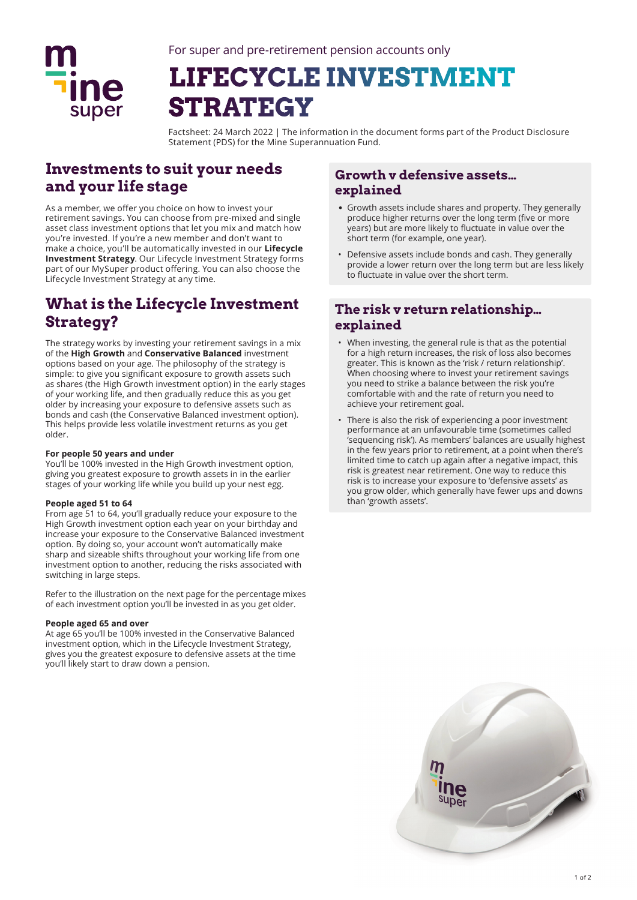

# **LIFECYCLE INVESTMENT STRATEGY**

Factsheet: 24 March 2022 | The information in the document forms part of the Product Disclosure Statement (PDS) for the Mine Superannuation Fund.

# **Investments to suit your needs and your life stage**

As a member, we offer you choice on how to invest your retirement savings. You can choose from pre-mixed and single asset class investment options that let you mix and match how you're invested. If you're a new member and don't want to make a choice, you'll be automatically invested in our **Lifecycle Investment Strategy**. Our Lifecycle Investment Strategy forms part of our MySuper product offering. You can also choose the Lifecycle Investment Strategy at any time.

# **What is the Lifecycle Investment Strategy?**

The strategy works by investing your retirement savings in a mix of the **High Growth** and **Conservative Balanced** investment options based on your age. The philosophy of the strategy is simple: to give you significant exposure to growth assets such as shares (the High Growth investment option) in the early stages of your working life, and then gradually reduce this as you get older by increasing your exposure to defensive assets such as bonds and cash (the Conservative Balanced investment option). This helps provide less volatile investment returns as you get older.

#### **For people 50 years and under**

You'll be 100% invested in the High Growth investment option, giving you greatest exposure to growth assets in in the earlier stages of your working life while you build up your nest egg.

## **People aged 51 to 64**

From age 51 to 64, you'll gradually reduce your exposure to the High Growth investment option each year on your birthday and increase your exposure to the Conservative Balanced investment option. By doing so, your account won't automatically make sharp and sizeable shifts throughout your working life from one investment option to another, reducing the risks associated with switching in large steps.

Refer to the illustration on the next page for the percentage mixes of each investment option you'll be invested in as you get older.

## **People aged 65 and over**

At age 65 you'll be 100% invested in the Conservative Balanced investment option, which in the Lifecycle Investment Strategy, gives you the greatest exposure to defensive assets at the time you'll likely start to draw down a pension.

## **Growth v defensive assets… explained**

- Growth assets include shares and property. They generally produce higher returns over the long term (five or more years) but are more likely to fluctuate in value over the short term (for example, one year).
- Defensive assets include bonds and cash. They generally provide a lower return over the long term but are less likely to fluctuate in value over the short term.

## **The risk v return relationship… explained**

- When investing, the general rule is that as the potential for a high return increases, the risk of loss also becomes greater. This is known as the 'risk / return relationship'. When choosing where to invest your retirement savings you need to strike a balance between the risk you're comfortable with and the rate of return you need to achieve your retirement goal.
- There is also the risk of experiencing a poor investment performance at an unfavourable time (sometimes called 'sequencing risk'). As members' balances are usually highest in the few years prior to retirement, at a point when there's limited time to catch up again after a negative impact, this risk is greatest near retirement. One way to reduce this risk is to increase your exposure to 'defensive assets' as you grow older, which generally have fewer ups and downs than 'growth assets'.